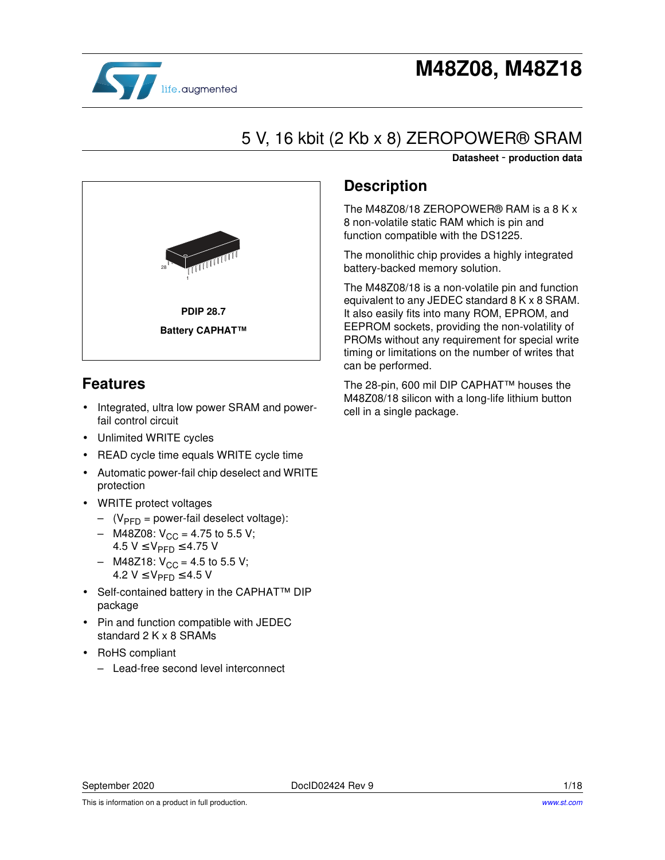

# **M48Z08, M48Z18**

# 5 V, 16 kbit (2 Kb x 8) ZEROPOWER® SRAM

**Datasheet** - **production data**



## **Features**

- Integrated, ultra low power SRAM and powerfail control circuit
- Unlimited WRITE cycles
- READ cycle time equals WRITE cycle time
- Automatic power-fail chip deselect and WRITE protection
- WRITE protect voltages
	- $(V_{\text{PFD}} = power-fail deselect voltage)$ :
	- M48Z08:  $V_{CC}$  = 4.75 to 5.5 V; 4.5 V ≤ V<sub>PFD</sub> ≤ 4.75 V
	- $-$  M48Z18:  $V_{CC}$  = 4.5 to 5.5 V; 4.2  $V$  ≤  $V_{\text{PFD}}$  ≤ 4.5 V
- Self-contained battery in the CAPHAT™ DIP package
- Pin and function compatible with JEDEC standard 2 K x 8 SRAMs
- RoHS compliant
	- Lead-free second level interconnect

## **Description**

The M48Z08/18 ZEROPOWER® RAM is a 8 K x 8 non-volatile static RAM which is pin and function compatible with the DS1225.

The monolithic chip provides a highly integrated battery-backed memory solution.

The M48Z08/18 is a non-volatile pin and function equivalent to any JEDEC standard 8 K x 8 SRAM. It also easily fits into many ROM, EPROM, and EEPROM sockets, providing the non-volatility of PROMs without any requirement for special write timing or limitations on the number of writes that can be performed.

The 28-pin, 600 mil DIP CAPHAT™ houses the M48Z08/18 silicon with a long-life lithium button cell in a single package.

This is information on a product in full production.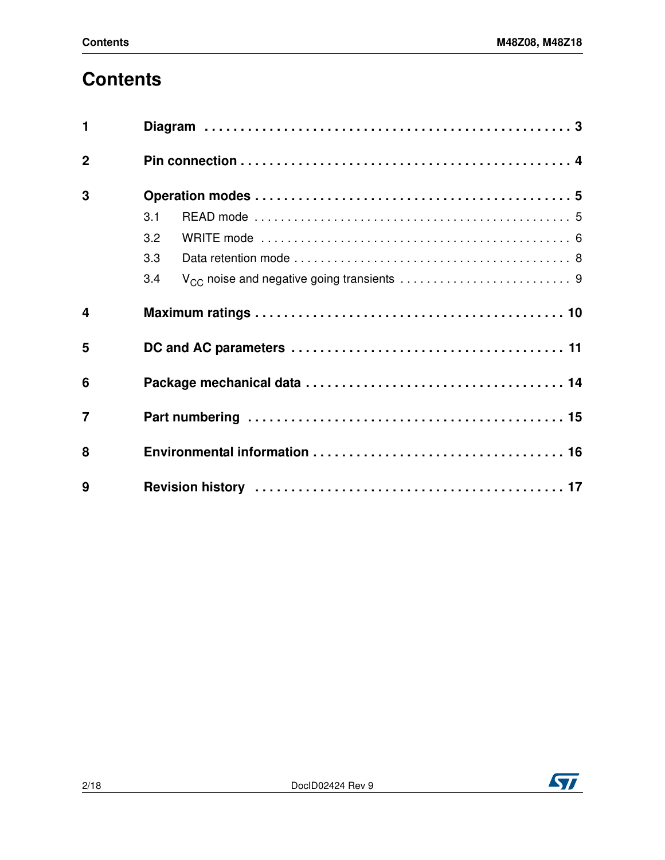# **Contents**

| $\mathbf{1}$     |     |
|------------------|-----|
| $\overline{2}$   |     |
| 3                |     |
|                  | 3.1 |
|                  | 3.2 |
|                  | 3.3 |
|                  | 3.4 |
| $\boldsymbol{4}$ |     |
| 5                |     |
| 6                |     |
| $\overline{7}$   |     |
| 8                |     |
| 9                |     |

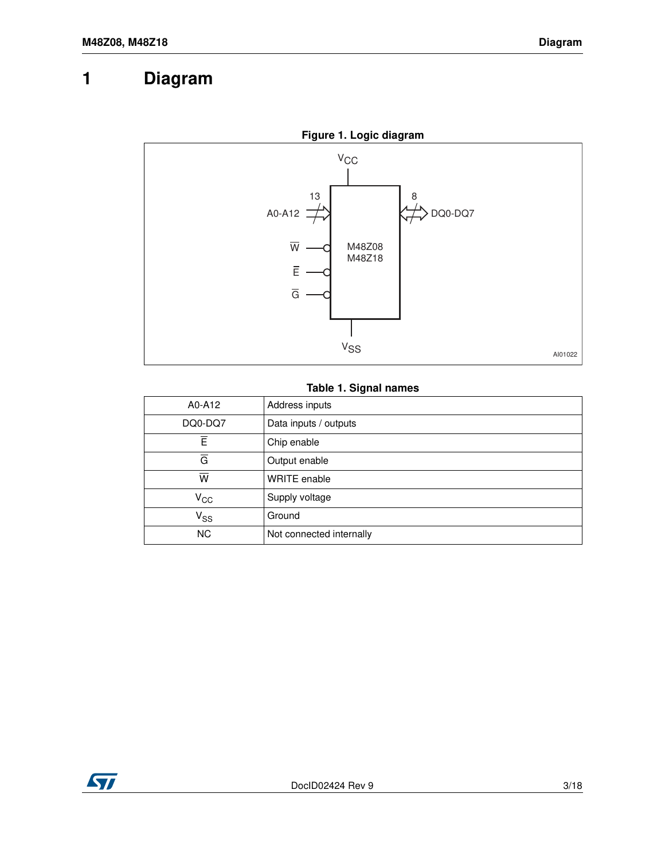## **1 Diagram**



#### **Table 1. Signal names**

| A0-A12                  | Address inputs           |
|-------------------------|--------------------------|
| DQ0-DQ7                 | Data inputs / outputs    |
| Ē                       | Chip enable              |
| $\overline{G}$          | Output enable            |
| $\overline{\mathsf{w}}$ | WRITE enable             |
| $\rm v_{cc}$            | Supply voltage           |
| $V_{SS}$                | Ground                   |
| <b>NC</b>               | Not connected internally |

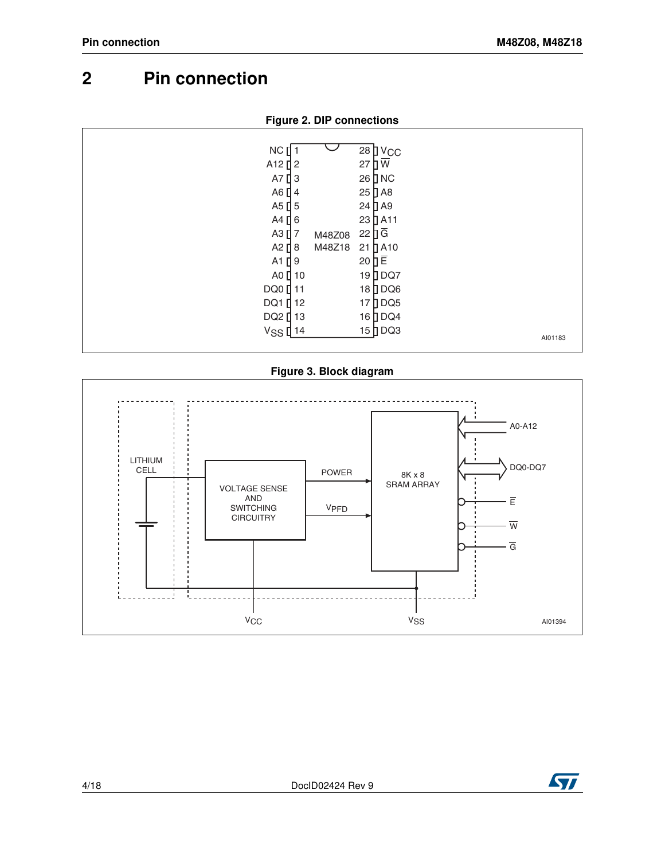## <span id="page-3-0"></span>**2 Pin connection**

| NC                   |        | $28$ J $V_{CC}$          |         |
|----------------------|--------|--------------------------|---------|
| A <sub>12</sub> $12$ |        | $\overline{u}$<br>27     |         |
| A7 $[]$ 3            |        | 26 D NC                  |         |
| A6 $\Box$ 4          |        | 25 D A8                  |         |
| A5 $[$ 5             |        | 24 D A9                  |         |
| A4 $\Box$ 6          |        | 23 D A11                 |         |
| $A3$ [ $7$           | M48Z08 | $22 \nvert \overline{G}$ |         |
| A2 $\prod$ 8         | M48Z18 | $21$ $\Box$ A10          |         |
| $A1$ [ 9             |        | 20 D E                   |         |
| A0 $\prod$ 10        |        | 19 DQ7                   |         |
| DQ0 <sup>[11</sup>   |        | 18 DQ6                   |         |
| DQ1 [ 12             |        | 17 DQ5                   |         |
| DQ2 [ 13             |        | 16 DQ4                   |         |
| $VSS$ <sup>14</sup>  |        | 15 DQ3                   | AI01183 |
|                      |        |                          |         |

**Figure 3. Block diagram**



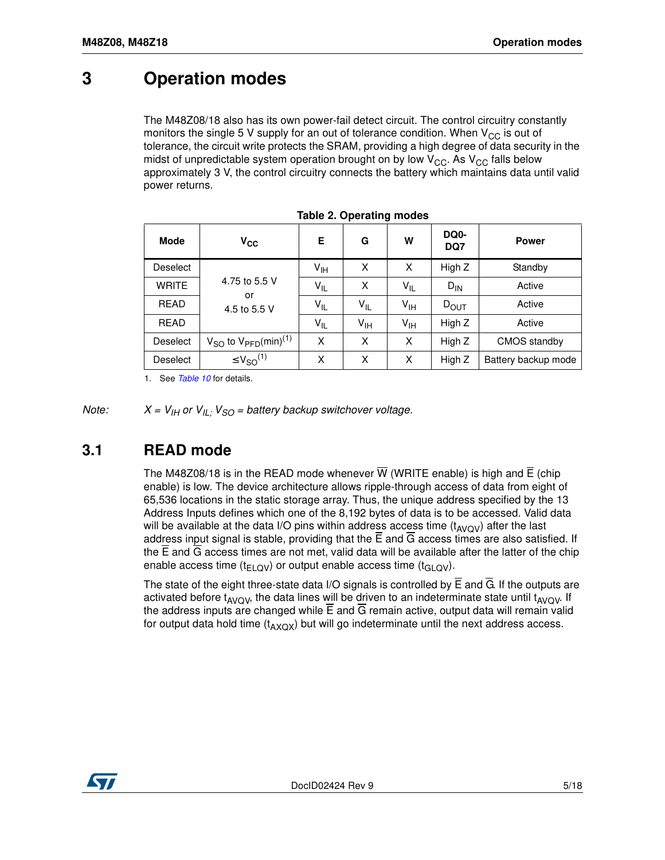## <span id="page-4-0"></span>**3 Operation modes**

The M48Z08/18 also has its own power-fail detect circuit. The control circuitry constantly monitors the single 5 V supply for an out of tolerance condition. When  $V_{CC}$  is out of tolerance, the circuit write protects the SRAM, providing a high degree of data security in the midst of unpredictable system operation brought on by low  $V_{CC}$ . As  $V_{CC}$  falls below approximately 3 V, the control circuitry connects the battery which maintains data until valid power returns.

| Mode         | $V_{CC}$                                          | Е               | G               | W               | DQ0-<br>DQ7 | <b>Power</b>        |
|--------------|---------------------------------------------------|-----------------|-----------------|-----------------|-------------|---------------------|
| Deselect     |                                                   | $V_{\text{IH}}$ | X               | X               | High Z      | Standby             |
| <b>WRITE</b> | 4.75 to 5.5 V<br>or                               | $V_{IL}$        | X               | $V_{IL}$        | $D_{IN}$    | Active              |
| <b>READ</b>  | 4.5 to 5.5 V                                      | $V_{IL}$        | $V_{IL}$        | $V_{\text{IH}}$ | $D_{OUT}$   | Active              |
| <b>READ</b>  |                                                   | $V_{IL}$        | $V_{\text{IH}}$ | $V_{\text{IH}}$ | High Z      | Active              |
| Deselect     | $V_{SO}$ to $V_{\text{PFD}}$ (min) <sup>(1)</sup> | X               | X               | X               | High Z      | CMOS standby        |
| Deselect     | $\leq$ $V_{SO}^{(1)}$                             | Χ               | X               | x               | High Z      | Battery backup mode |

1. See *Table 10* for details.

<span id="page-4-1"></span>*Note:*  $X = V_{IH}$  or  $V_{IL}$ *;*  $V_{SO}$  = battery backup switchover voltage.

#### **3.1 READ mode**

The M48Z08/18 is in the READ mode whenever  $\overline{W}$  (WRITE enable) is high and  $\overline{E}$  (chip enable) is low. The device architecture allows ripple-through access of data from eight of 65,536 locations in the static storage array. Thus, the unique address specified by the 13 Address Inputs defines which one of the 8,192 bytes of data is to be accessed. Valid data will be available at the data I/O pins within address access time  $(t_{AVOV})$  after the last address input signal is stable, providing that the  $\overline{E}$  and  $\overline{G}$  access times are also satisfied. If the  $\overline{E}$  and  $\overline{G}$  access times are not met, valid data will be available after the latter of the chip enable access time ( $t_{ELOV}$ ) or output enable access time ( $t_{GILOV}$ ).

The state of the eight three-state data I/O signals is controlled by  $\overline{E}$  and  $\overline{G}$ . If the outputs are activated before  $t_{AVOW}$ , the data lines will be driven to an indeterminate state until  $t_{AVOW}$ . If the address inputs are changed while  $\overline{E}$  and  $\overline{G}$  remain active, output data will remain valid for output data hold time  $(t_{\rm{AXOX}})$  but will go indeterminate until the next address access.

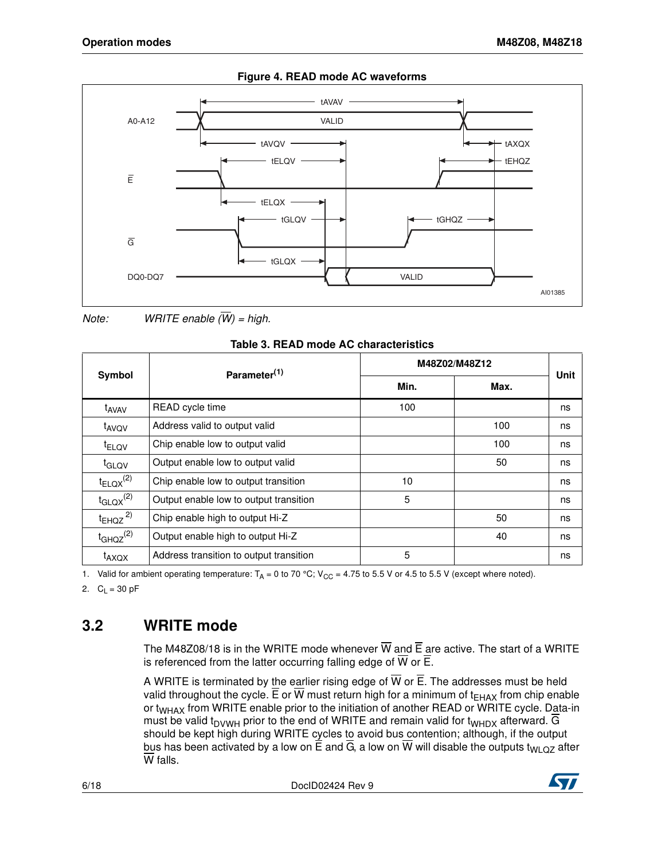

#### **Figure 4. READ mode AC waveforms**

*Note: WRITE enable (W) = high.*

|--|

|                          | Parameter <sup>(1)</sup>                | M48Z02/M48Z12 |      |      |
|--------------------------|-----------------------------------------|---------------|------|------|
| Symbol                   |                                         | Min.          | Max. | Unit |
| t <sub>AVAV</sub>        | READ cycle time                         | 100           |      | ns   |
| t <sub>AVOV</sub>        | Address valid to output valid           |               | 100  | ns   |
| t <sub>ELQV</sub>        | Chip enable low to output valid         |               | 100  | ns   |
| t <sub>GLOV</sub>        | Output enable low to output valid       |               | 50   | ns   |
| $t_{ELQX}^{(2)}$         | Chip enable low to output transition    | 10            |      | ns   |
| $t_{\text{GLQX}}^{(2)}$  | Output enable low to output transition  | 5             |      | ns   |
| $t_{EHQZ}$ <sup>2)</sup> | Chip enable high to output Hi-Z         |               | 50   | ns   |
| $t_{GHQZ}^{(2)}$         | Output enable high to output Hi-Z       |               | 40   | ns   |
| t <sub>AXQX</sub>        | Address transition to output transition | 5             |      | ns   |

1. Valid for ambient operating temperature:  $T_A = 0$  to 70 °C; V<sub>CC</sub> = 4.75 to 5.5 V or 4.5 to 5.5 V (except where noted).

2.  $C_L = 30 \text{ pF}$ 

## <span id="page-5-0"></span>**3.2 WRITE mode**

The M48Z08/18 is in the WRITE mode whenever  $\overline{W}$  and  $\overline{E}$  are active. The start of a WRITE is referenced from the latter occurring falling edge of  $\overline{W}$  or  $\overline{E}$ .

A WRITE is terminated by the earlier rising edge of  $\overline{W}$  or  $\overline{E}$ . The addresses must be held valid throughout the cycle.  $\overline{E}$  or W must return high for a minimum of t<sub>FHAX</sub> from chip enable or t<sub>WHAX</sub> from WRITE enable prior to the initiation of another READ or WRITE cycle. Data-in must be valid  $t_{DVWH}$  prior to the end of WRITE and remain valid for  $t_{WHDX}$  afterward. G should be kept high during WRITE cycles to avoid bus contention; although, if the output bus has been activated by a low on  $\overline{E}$  and  $\overline{G}$ , a low on W will disable the outputs t<sub>WLQZ</sub> after W falls.

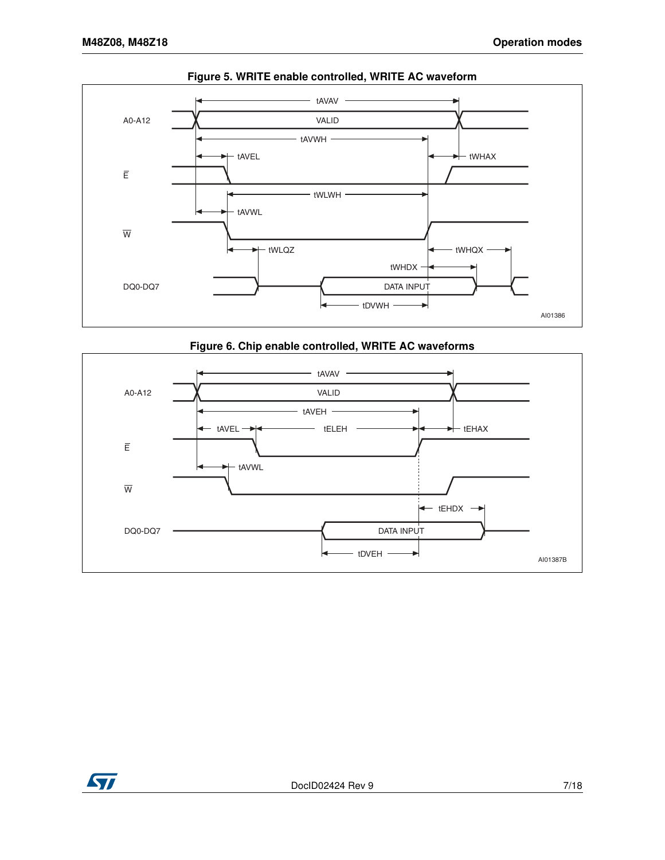

#### **Figure 5. WRITE enable controlled, WRITE AC waveform**





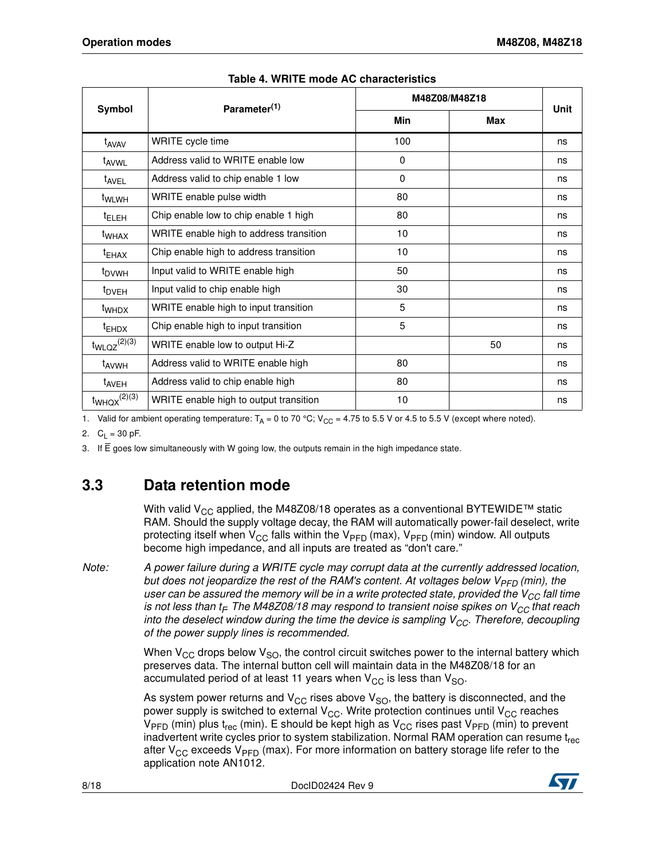|                     | Parameter <sup>(1)</sup>                | M48Z08/M48Z18 |     |      |
|---------------------|-----------------------------------------|---------------|-----|------|
| Symbol              |                                         | <b>Min</b>    | Max | Unit |
| t <sub>AVAV</sub>   | WRITE cycle time                        | 100           |     | ns   |
| t <sub>AVWL</sub>   | Address valid to WRITE enable low       | $\Omega$      |     | ns   |
| t <sub>AVEL</sub>   | Address valid to chip enable 1 low      | 0             |     | ns   |
| t <sub>WLWH</sub>   | WRITE enable pulse width                | 80            |     | ns   |
| <sup>t</sup> ELEH   | Chip enable low to chip enable 1 high   | 80            |     | ns   |
| t <sub>WHAX</sub>   | WRITE enable high to address transition | 10            |     | ns   |
| <sup>t</sup> EHAX   | Chip enable high to address transition  | 10            |     | ns   |
| t <sub>DVWH</sub>   | Input valid to WRITE enable high        | 50            |     | ns   |
| t <sub>DVEH</sub>   | Input valid to chip enable high         | 30            |     | ns   |
| t <sub>WHDX</sub>   | WRITE enable high to input transition   | 5             |     | ns   |
| <sup>t</sup> EHDX   | Chip enable high to input transition    | 5             |     | ns   |
| $t_{WLQZ}^{(2)(3)}$ | WRITE enable low to output Hi-Z         |               | 50  | ns   |
| t <sub>AVWH</sub>   | Address valid to WRITE enable high      | 80            |     | ns   |
| t <sub>AVEH</sub>   | Address valid to chip enable high       | 80            |     | ns   |
| $t_{WHQX}^{(2)(3)}$ | WRITE enable high to output transition  | 10            |     | ns   |

#### **Table 4. WRITE mode AC characteristics**

1. Valid for ambient operating temperature:  $T_A = 0$  to 70 °C; V<sub>CC</sub> = 4.75 to 5.5 V or 4.5 to 5.5 V (except where noted).

2. C<sub>L</sub> = 30 pF.

3. If E goes low simultaneously with W going low, the outputs remain in the high impedance state.

## <span id="page-7-0"></span>**3.3 Data retention mode**

With valid  $V_{CC}$  applied, the M48Z08/18 operates as a conventional BYTEWIDE<sup>TM</sup> static RAM. Should the supply voltage decay, the RAM will automatically power-fail deselect, write protecting itself when  $V_{CC}$  falls within the  $V_{PFD}$  (max),  $V_{PFD}$  (min) window. All outputs become high impedance, and all inputs are treated as "don't care."

*Note: A power failure during a WRITE cycle may corrupt data at the currently addressed location, but does not jeopardize the rest of the RAM's content. At voltages below V<sub>PFD</sub> (min), the user can be assured the memory will be in a write protected state, provided the V<sub>CC</sub> fall time is not less than t<sub>F</sub> The M48Z08/18 may respond to transient noise spikes on V<sub>CC</sub> that reach into the deselect window during the time the device is sampling V<sub>CC</sub>. Therefore, decoupling of the power supply lines is recommended.*

> When  $V_{CC}$  drops below  $V_{SO}$ , the control circuit switches power to the internal battery which preserves data. The internal button cell will maintain data in the M48Z08/18 for an accumulated period of at least 11 years when  $V_{CC}$  is less than  $V_{SO}$ .

> As system power returns and  $V_{CC}$  rises above  $V_{SO}$ , the battery is disconnected, and the power supply is switched to external  $V_{CC}$ . Write protection continues until  $V_{CC}$  reaches  $V_{\text{PFD}}$  (min) plus t<sub>rec</sub> (min). E should be kept high as  $V_{\text{CC}}$  rises past  $V_{\text{PFD}}$  (min) to prevent inadvertent write cycles prior to system stabilization. Normal RAM operation can resume  $t_{rec}$ after  $V_{CC}$  exceeds  $V_{PFD}$  (max). For more information on battery storage life refer to the application note AN1012.

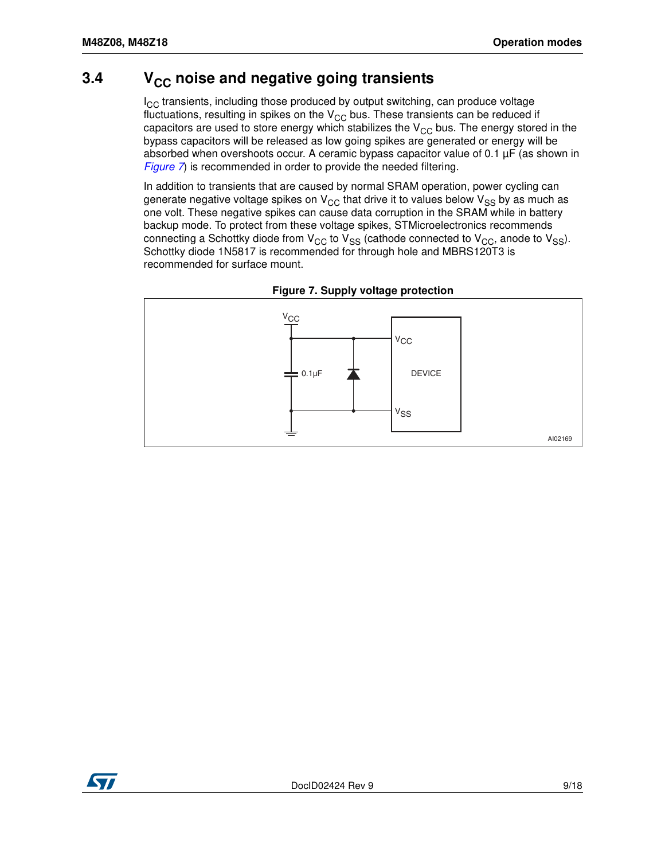#### <span id="page-8-0"></span>**3.4** V<sub>CC</sub> noise and negative going transients

 $I_{CC}$  transients, including those produced by output switching, can produce voltage fluctuations, resulting in spikes on the  $V_{CC}$  bus. These transients can be reduced if capacitors are used to store energy which stabilizes the  $V_{CC}$  bus. The energy stored in the [bypass c](#page-8-1)apacitors will be released as low going spikes are generated or energy will be absorbed when overshoots occur. A ceramic bypass capacitor value of  $0.1 \mu$ F (as shown in *Figure 7*) is recommended in order to provide the needed filtering.

In addition to transients that are caused by normal SRAM operation, power cycling can generate negative voltage spikes on  $V_{CC}$  that drive it to values below  $V_{SS}$  by as much as one volt. These negative spikes can cause data corruption in the SRAM while in battery backup mode. To protect from these voltage spikes, STMicroelectronics recommends connecting a Schottky diode from  $V_{CC}$  to  $V_{SS}$  (cathode connected to  $V_{CC}$ , anode to  $V_{SS}$ ). Schottky diode 1N5817 is recommended for through hole and MBRS120T3 is recommended for surface mount.

<span id="page-8-1"></span>

**Figure 7. Supply voltage protection**

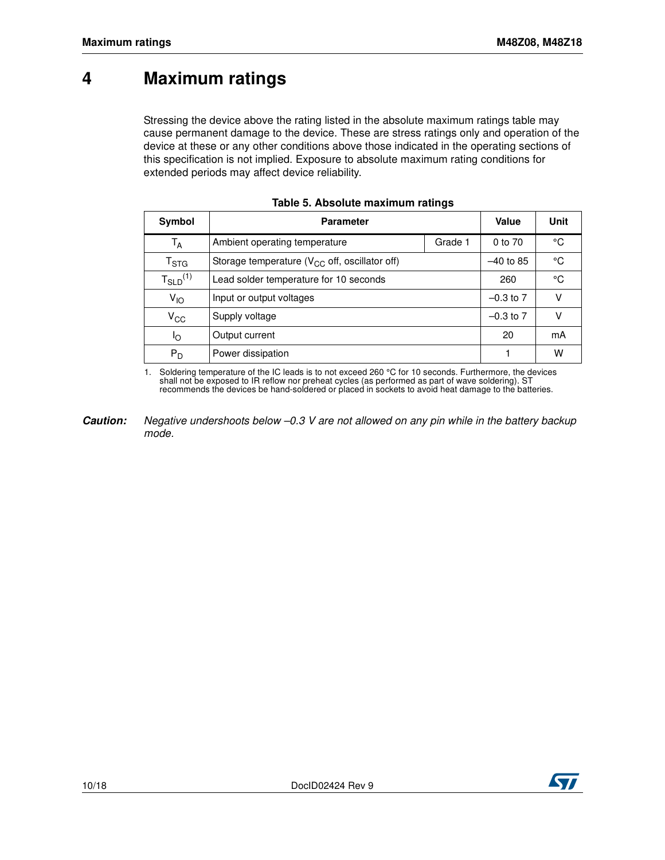## <span id="page-9-0"></span>**4 Maximum ratings**

Stressing the device above the rating listed in the absolute maximum ratings table may cause permanent damage to the device. These are stress ratings only and operation of the device at these or any other conditions above those indicated in the operating sections of this specification is not implied. Exposure to absolute maximum rating conditions for extended periods may affect device reliability.

| Symbol                      | <b>Parameter</b>                                    |         | <b>Value</b>  | Unit |
|-----------------------------|-----------------------------------------------------|---------|---------------|------|
| Т <sub>А</sub>              | Ambient operating temperature                       | Grade 1 | 0 to 70       | °C   |
| $\mathsf{T}_{\textsf{STG}}$ | Storage temperature ( $V_{CC}$ off, oscillator off) |         | $-40$ to 85   | °C   |
| $T_{SLD}^{(1)}$             | Lead solder temperature for 10 seconds              |         | 260           | °C   |
| $V_{IO}$                    | Input or output voltages                            |         | $-0.3$ to $7$ | ν    |
| $V_{\rm CC}$                | Supply voltage                                      |         | $-0.3$ to $7$ | ν    |
| Ιo                          | Output current                                      |         | 20            | mA   |
| $P_D$                       | Power dissipation                                   |         |               | W    |

1. Soldering temperature of the IC leads is to not exceed 260 °C for 10 seconds. Furthermore, the devices shall not be exposed to IR reflow nor preheat cycles (as performed as part of wave soldering). ST recommends the devices be hand-soldered or placed in sockets to avoid heat damage to the batteries.

**Caution:** *Negative undershoots below –0.3 V are not allowed on any pin while in the battery backup mode.* 

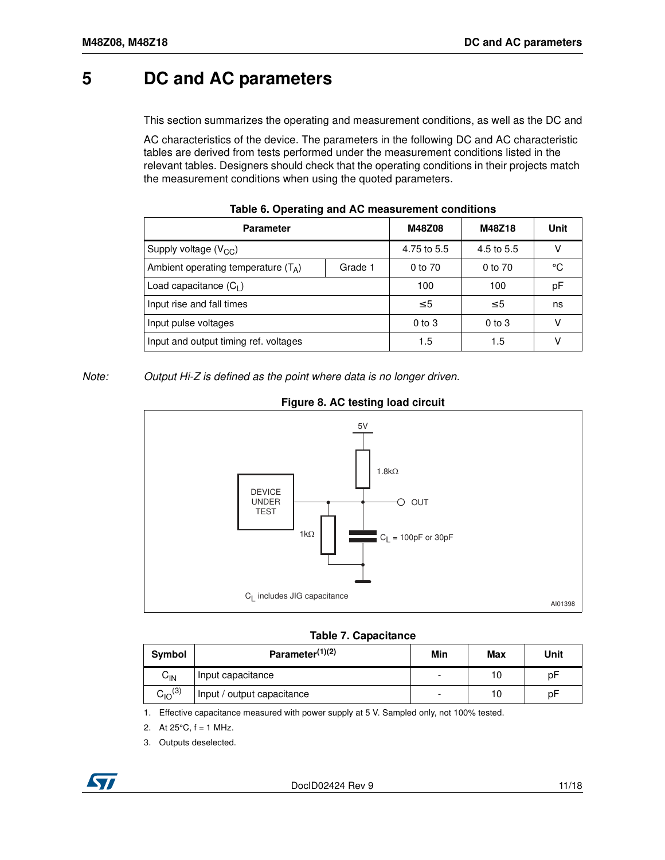## <span id="page-10-0"></span>**5 DC and AC parameters**

This section summarizes the operating and measurement conditions, as well as the DC and

AC characteristics of the device. The parameters in the following DC and AC characteristic tables are derived from tests performed under the measurement conditions listed in the relevant tables. Designers should check that the operating conditions in their projects match the measurement conditions when using the quoted parameters.

| <b>Parameter</b>                      |         | M48Z08      | M48Z18     | Unit |  |
|---------------------------------------|---------|-------------|------------|------|--|
| Supply voltage $(V_{CC})$             |         | 4.75 to 5.5 | 4.5 to 5.5 | V    |  |
| Ambient operating temperature $(T_A)$ | Grade 1 | 0 to 70     | 0 to 70    | °C   |  |
| Load capacitance $(C_1)$              |         | 100         | 100        | pF   |  |
| Input rise and fall times             |         | $\leq 5$    | $\leq 5$   | ns   |  |
| Input pulse voltages                  |         | $0$ to $3$  | $0$ to $3$ | ν    |  |
| Input and output timing ref. voltages |         | 1.5         | 1.5        | v    |  |

*Note: Output Hi-Z is defined as the point where data is no longer driven.*



#### **Figure 8. AC testing load circuit**

**Table 7. Capacitance**

| Symbol         | Parameter $(1)(2)$         | Min | Max | Unit |
|----------------|----------------------------|-----|-----|------|
| $C_{IN}$       | Input capacitance          | -   | 10  | рF   |
| $C_{10}^{(3)}$ | Input / output capacitance | -   | 10  | рF   |

1. Effective capacitance measured with power supply at 5 V. Sampled only, not 100% tested.

2. At  $25^{\circ}$ C, f = 1 MHz.

3. Outputs deselected.

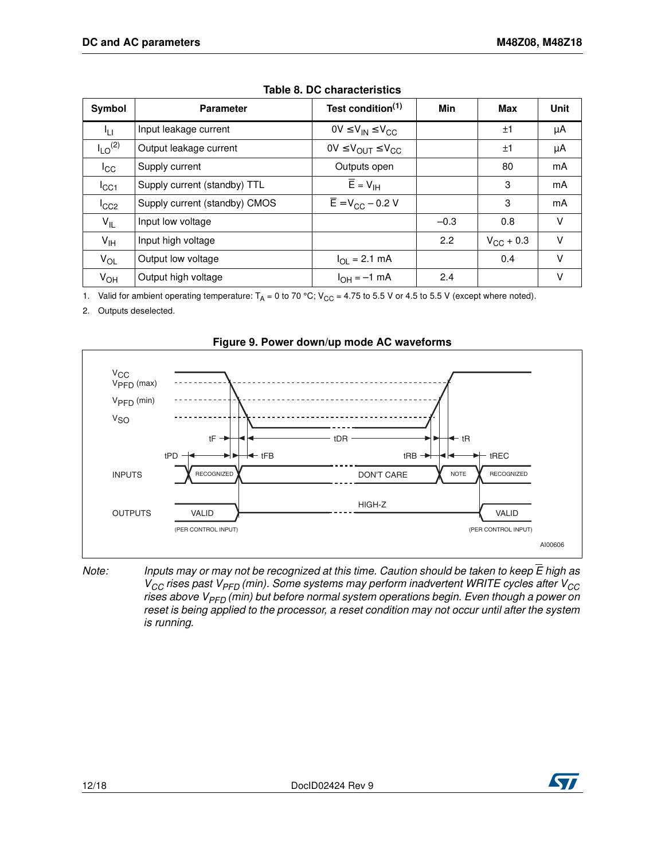| Symbol                  | <b>Parameter</b>              | Test condition <sup>(1)</sup>            | Min    | Max                | Unit |
|-------------------------|-------------------------------|------------------------------------------|--------|--------------------|------|
| <sup>I</sup> LI.        | Input leakage current         | $OV \leq V_{IN} \leq V_{CC}$             |        | ±1                 | μA   |
| $I_{LO}$ <sup>(2)</sup> | Output leakage current        | $0V \leq V_{OUT} \leq V_{CC}$            |        | ±1                 | μA   |
| ICC                     | Supply current                | Outputs open                             |        | 80                 | mA   |
| $I_{\rm CC1}$           | Supply current (standby) TTL  | $\overline{E}$ = $V_{\text{IH}}$         |        | 3                  | mA   |
| $I_{CC2}$               | Supply current (standby) CMOS | $\overline{E}$ = V <sub>CC</sub> – 0.2 V |        | 3                  | mA   |
| $V_{IL}$                | Input low voltage             |                                          | $-0.3$ | 0.8                | V    |
| $V_{\text{IH}}$         | Input high voltage            |                                          | 2.2    | $V_{\rm CC}$ + 0.3 | V    |
| $V_{OL}$                | Output low voltage            | $I_{OL} = 2.1$ mA                        |        | 0.4                | V    |
| $V_{OH}$                | Output high voltage           | $I_{OH} = -1$ mA                         | 2.4    |                    | v    |

|  |  |  |  | Table 8. DC characteristics |
|--|--|--|--|-----------------------------|
|--|--|--|--|-----------------------------|

1. Valid for ambient operating temperature:  $T_A = 0$  to 70 °C;  $V_{CC} = 4.75$  to 5.5 V or 4.5 to 5.5 V (except where noted).

2. Outputs deselected.



**Figure 9. Power down/up mode AC waveforms**

*Note: Inputs may or may not be recognized at this time. Caution should be taken to keep E high as VCC rises past VPFD (min). Some systems may perform inadvertent WRITE cycles after VCC rises above VPFD (min) but before normal system operations begin. Even though a power on reset is being applied to the processor, a reset condition may not occur until after the system is running.*

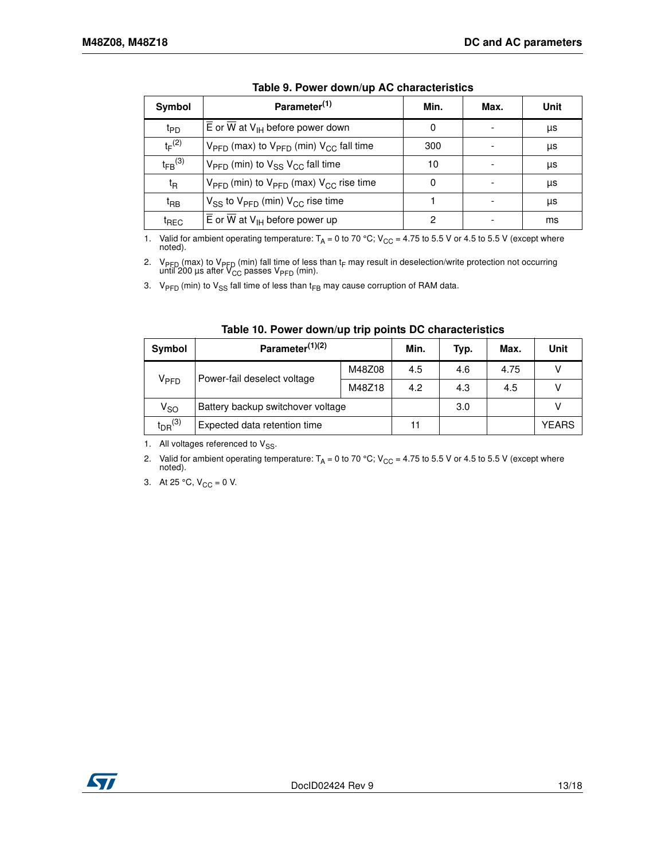| Symbol                  | Parameter <sup>(1)</sup>                                                   | Min. | Max. | Unit |
|-------------------------|----------------------------------------------------------------------------|------|------|------|
| t <sub>PD</sub>         | $\overline{E}$ or $\overline{W}$ at $V_{\text{IH}}$ before power down      | 0    |      | μs   |
| $t_F^{(2)}$             | $V_{\text{PFD}}$ (max) to $V_{\text{PFD}}$ (min) $V_{\text{CC}}$ fall time | 300  |      | μs   |
| $t_{FB}$ <sup>(3)</sup> | $V_{\text{PFD}}$ (min) to $V_{\text{SS}}$ $V_{\text{CC}}$ fall time        | 10   |      | μs   |
| t <sub>R</sub>          | $V_{\text{PFD}}$ (min) to $V_{\text{PFD}}$ (max) $V_{\text{CC}}$ rise time | 0    |      | μs   |
| t <sub>RB</sub>         | $V_{SS}$ to $V_{PFD}$ (min) $V_{CC}$ rise time                             |      |      | μs   |
| <sup>t</sup> REC        | $\overline{E}$ or $\overline{W}$ at $V_{IH}$ before power up               | っ    |      | ms   |

|  | Table 9. Power down/up AC characteristics |  |  |
|--|-------------------------------------------|--|--|
|--|-------------------------------------------|--|--|

1. Valid for ambient operating temperature:  $T_A = 0$  to 70 °C; V<sub>CC</sub> = 4.75 to 5.5 V or 4.5 to 5.5 V (except where noted).

2. V<sub>PFD</sub> (max) to V<sub>PFD</sub> (min) fall time of less than t<sub>F</sub> may result in deselection/write protection not occurring until 200 μs after V<sub>CC</sub> passes V<sub>PFD</sub> (min).

3.  $V_{\text{PFD}}$  (min) to  $V_{\text{SS}}$  fall time of less than t<sub>FB</sub> may cause corruption of RAM data.

<span id="page-12-0"></span>

| Symbol                     | Parameter <sup>(1)(2)</sup>       | Min.   | Typ. | Max. | <b>Unit</b>  |   |
|----------------------------|-----------------------------------|--------|------|------|--------------|---|
|                            | Power-fail deselect voltage       |        | 4.5  | 4.6  | 4.75         | v |
| V <sub>PFD</sub>           |                                   | M48Z18 | 4.2  | 4.3  | 4.5          |   |
| $\mathsf{V}_{\mathsf{SO}}$ | Battery backup switchover voltage |        | 3.0  |      |              |   |
| $t_{DR}$ $(3)$             | Expected data retention time      | 11     |      |      | <b>YEARS</b> |   |

| Table 10. Power down/up trip points DC characteristics |  |  |  |  |  |  |  |
|--------------------------------------------------------|--|--|--|--|--|--|--|
|--------------------------------------------------------|--|--|--|--|--|--|--|

1. All voltages referenced to  $V_{SS}$ .

2. Valid for ambient operating temperature:  $T_A = 0$  to 70 °C; V<sub>CC</sub> = 4.75 to 5.5 V or 4.5 to 5.5 V (except where noted).

3. At 25 °C,  $V_{CC} = 0$  V.

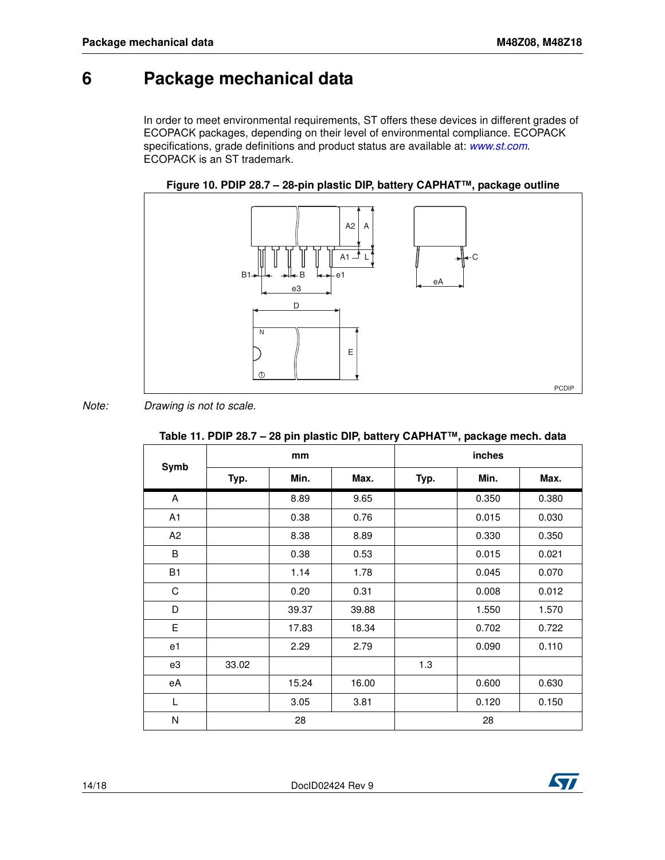## <span id="page-13-0"></span>**6 Package mechanical data**

In order to meet environmental requirements, ST offers these devic[es in different](http://www.st.com) grades of ECOPACK packages, depending on their level of environmental compliance. ECOPACK specifications, grade definitions and product status are available at: *www.st.com*. ECOPACK is an ST trademark.





*Note: Drawing is not to scale.*

|                |       |       |       |        | , paonago mooni |       |  |
|----------------|-------|-------|-------|--------|-----------------|-------|--|
| Symb           |       | mm    |       | inches |                 |       |  |
|                | Typ.  | Min.  | Max.  | Typ.   | Min.            | Max.  |  |
| A              |       | 8.89  | 9.65  |        | 0.350           | 0.380 |  |
| A1             |       | 0.38  | 0.76  |        | 0.015           | 0.030 |  |
| A <sub>2</sub> |       | 8.38  | 8.89  |        | 0.330           | 0.350 |  |
| B              |       | 0.38  | 0.53  |        | 0.015           | 0.021 |  |
| B1             |       | 1.14  | 1.78  |        | 0.045           | 0.070 |  |
| $\mathsf C$    |       | 0.20  | 0.31  |        | 0.008           | 0.012 |  |
| D              |       | 39.37 | 39.88 |        | 1.550           | 1.570 |  |
| E              |       | 17.83 | 18.34 |        | 0.702           | 0.722 |  |
| e1             |       | 2.29  | 2.79  |        | 0.090           | 0.110 |  |
| e3             | 33.02 |       |       | 1.3    |                 |       |  |
| eA             |       | 15.24 | 16.00 |        | 0.600           | 0.630 |  |
| L              |       | 3.05  | 3.81  |        | 0.120           | 0.150 |  |
| $\mathsf{N}$   |       | 28    |       |        | 28              |       |  |

#### **Table 11. PDIP 28.7 – 28 pin plastic DIP, battery CAPHAT™, package mech. data**

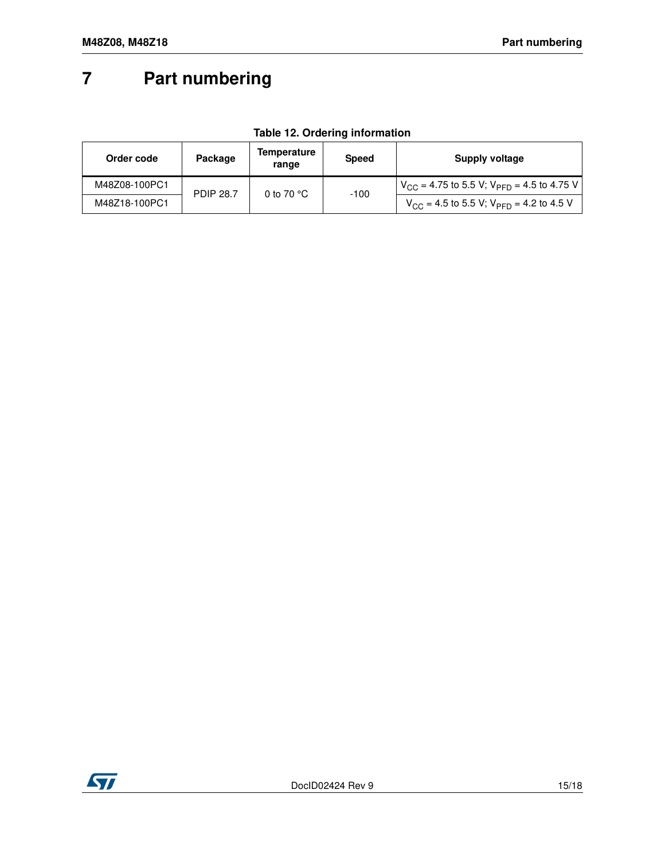# <span id="page-14-0"></span>**7 Part numbering**

#### **Table 12. Ordering information**

<span id="page-14-1"></span>

| Order code    | Package          | Temperature<br>range | <b>Speed</b> | Supply voltage                                                 |
|---------------|------------------|----------------------|--------------|----------------------------------------------------------------|
| M48Z08-100PC1 | <b>PDIP 28.7</b> | 0 to 70 $^{\circ}$ C | -100         | $V_{\rm CC}$ = 4.75 to 5.5 V; V <sub>PFD</sub> = 4.5 to 4.75 V |
| M48Z18-100PC1 |                  |                      |              | $V_{CC}$ = 4.5 to 5.5 V; $V_{PFD}$ = 4.2 to 4.5 V              |

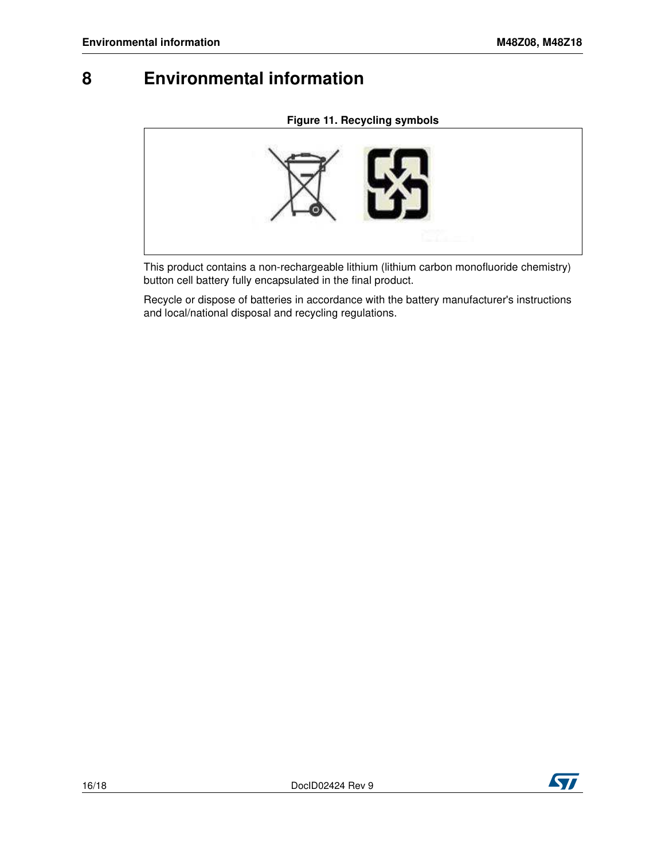## <span id="page-15-0"></span>**8 Environmental information**

#### **Figure 11. Recycling symbols**



This product contains a non-rechargeable lithium (lithium carbon monofluoride chemistry) button cell battery fully encapsulated in the final product.

Recycle or dispose of batteries in accordance with the battery manufacturer's instructions and local/national disposal and recycling regulations.

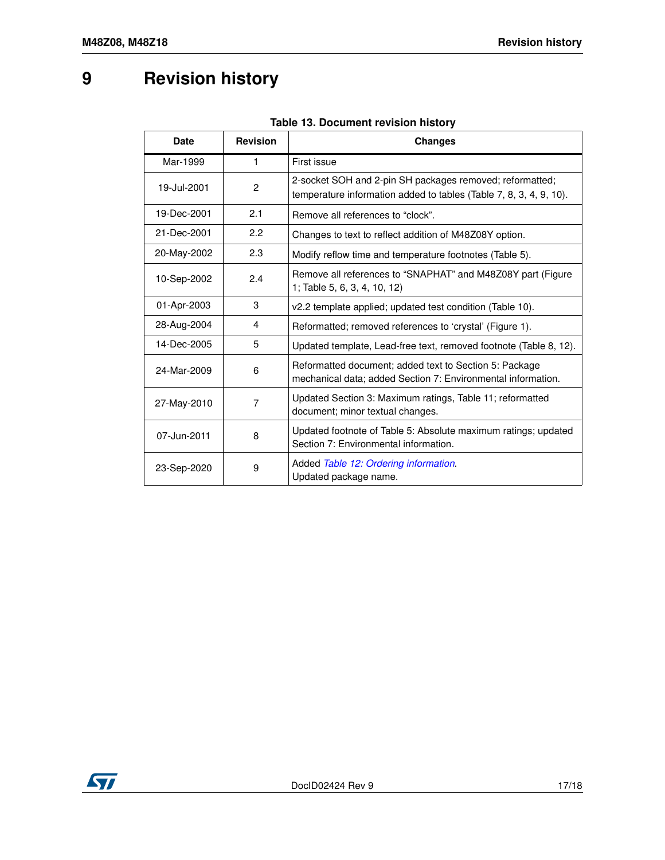# <span id="page-16-0"></span>**9 Revision history**

| <b>Date</b> | <b>Revision</b> | <b>Changes</b>                                                                                                                 |
|-------------|-----------------|--------------------------------------------------------------------------------------------------------------------------------|
| Mar-1999    | 1               | First issue                                                                                                                    |
| 19-Jul-2001 | $\overline{c}$  | 2-socket SOH and 2-pin SH packages removed; reformatted;<br>temperature information added to tables (Table 7, 8, 3, 4, 9, 10). |
| 19-Dec-2001 | 2.1             | Remove all references to "clock".                                                                                              |
| 21-Dec-2001 | 2.2             | Changes to text to reflect addition of M48Z08Y option.                                                                         |
| 20-May-2002 | 2.3             | Modify reflow time and temperature footnotes (Table 5).                                                                        |
| 10-Sep-2002 | 2.4             | Remove all references to "SNAPHAT" and M48Z08Y part (Figure<br>1; Table 5, 6, 3, 4, 10, 12)                                    |
| 01-Apr-2003 | 3               | v2.2 template applied; updated test condition (Table 10).                                                                      |
| 28-Aug-2004 | 4               | Reformatted; removed references to 'crystal' (Figure 1).                                                                       |
| 14-Dec-2005 | 5               | Updated template, Lead-free text, removed footnote (Table 8, 12).                                                              |
| 24-Mar-2009 | 6               | Reformatted document; added text to Section 5: Package<br>mechanical data; added Section 7: Environmental information.         |
| 27-May-2010 | 7               | Updated Section 3: Maximum ratings, Table 11; reformatted<br>document; minor textual changes.                                  |
| 07-Jun-2011 | 8               | Updated footnote of Table 5: Absolute maximum ratings; updated<br>Section 7: Environmental information.                        |
| 23-Sep-2020 | 9               | Added Table 12: Ordering information.<br>Updated package name.                                                                 |

#### **Table 13. Document revision history**